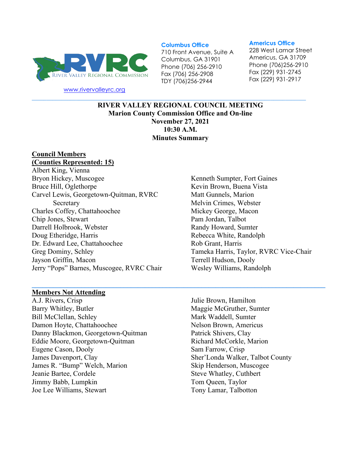

[www.rivervalleyrc.org](http://www.rivervalleyrc.org/)

#### **Columbus Office**

710 Front Avenue, Suite A Columbus, GA 31901 Phone (706) 256-2910 Fax (706) 256-2908 TDY (706)256-2944

#### **Americus Office**

228 West Lamar Street Americus, GA 31709 Phone (706)256-2910 Fax (229) 931-2745 Fax (229) 931-2917

**RIVER VALLEY REGIONAL COUNCIL MEETING Marion County Commission Office and On-line November 27, 2021 10:30 A.M. Minutes Summary**

**\_\_\_\_\_\_\_\_\_\_\_\_\_\_\_\_\_\_\_\_\_\_\_\_\_\_\_\_\_\_\_\_\_\_\_\_\_\_\_\_\_\_\_\_\_\_\_\_\_\_\_\_\_\_\_\_\_\_\_\_\_\_\_\_\_\_\_\_\_\_\_\_\_\_\_\_\_\_\_\_\_\_\_**

**\_\_\_\_\_\_\_\_\_\_\_\_\_\_\_\_\_\_\_\_\_\_\_\_\_\_\_\_\_\_\_\_\_\_\_\_\_\_\_\_\_\_\_\_\_\_\_\_\_\_\_\_\_\_\_\_\_\_\_\_\_\_\_\_\_\_\_\_\_\_\_\_\_\_\_\_\_\_\_\_\_\_\_\_\_\_\_\_\_\_\_\_\_**

# **Council Members**

## **(Counties Represented: 15)**

Albert King, Vienna Bryon Hickey, Muscogee Bruce Hill, Oglethorpe Carvel Lewis, Georgetown-Quitman, RVRC Secretary Charles Coffey, Chattahoochee Chip Jones, Stewart Darrell Holbrook, Webster Doug Etheridge, Harris Dr. Edward Lee, Chattahoochee Greg Dominy, Schley Jayson Griffin, Macon Jerry "Pops" Barnes, Muscogee, RVRC Chair

Kenneth Sumpter, Fort Gaines Kevin Brown, Buena Vista Matt Gunnels, Marion Melvin Crimes, Webster Mickey George, Macon Pam Jordan, Talbot Randy Howard, Sumter Rebecca White, Randolph Rob Grant, Harris Tameka Harris, Taylor, RVRC Vice-Chair Terrell Hudson, Dooly Wesley Williams, Randolph

#### **Members Not Attending**

A.J. Rivers, Crisp Barry Whitley, Butler Bill McClellan, Schley Damon Hoyte, Chattahoochee Danny Blackmon, Georgetown-Quitman Eddie Moore, Georgetown-Quitman Eugene Cason, Dooly James Davenport, Clay James R. "Bump" Welch, Marion Jeanie Bartee, Cordele Jimmy Babb, Lumpkin Joe Lee Williams, Stewart

Julie Brown, Hamilton Maggie McGruther, Sumter Mark Waddell, Sumter Nelson Brown, Americus Patrick Shivers, Clay Richard McCorkle, Marion Sam Farrow, Crisp Sher'Londa Walker, Talbot County Skip Henderson, Muscogee Steve Whatley, Cuthbert Tom Queen, Taylor Tony Lamar, Talbotton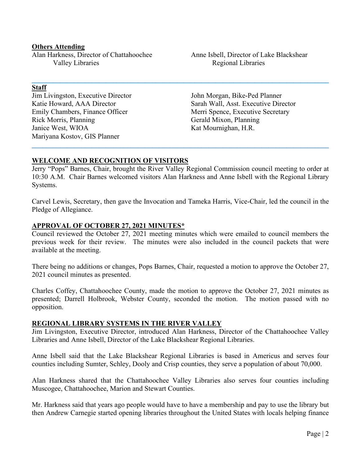#### **Others Attending**

Alan Harkness, Director of Chattahoochee Valley Libraries

**Staff**

Jim Livingston, Executive Director Katie Howard, AAA Director Emily Chambers, Finance Officer Rick Morris, Planning Janice West, WIOA Mariyana Kostov, GIS Planner

Anne Isbell, Director of Lake Blackshear Regional Libraries

John Morgan, Bike-Ped Planner Sarah Wall, Asst. Executive Director Merri Spence, Executive Secretary Gerald Mixon, Planning Kat Mournighan, H.R.

### **WELCOME AND RECOGNITION OF VISITORS**

Jerry "Pops" Barnes, Chair, brought the River Valley Regional Commission council meeting to order at 10:30 A.M. Chair Barnes welcomed visitors Alan Harkness and Anne Isbell with the Regional Library Systems.

**\_\_\_\_\_\_\_\_\_\_\_\_\_\_\_\_\_\_\_\_\_\_\_\_\_\_\_\_\_\_\_\_\_\_\_\_\_\_\_\_\_\_\_\_\_\_\_\_\_\_\_\_\_\_\_\_\_\_\_\_\_\_\_\_\_\_\_\_\_\_\_\_\_\_\_\_\_\_\_\_\_\_\_\_**

**\_\_\_\_\_\_\_\_\_\_\_\_\_\_\_\_\_\_\_\_\_\_\_\_\_\_\_\_\_\_\_\_\_\_\_\_\_\_\_\_\_\_\_\_\_\_\_\_\_\_\_\_\_\_\_\_\_\_\_\_\_\_\_\_\_\_\_\_\_\_\_\_\_\_\_\_\_\_\_\_\_\_\_\_**

Carvel Lewis, Secretary, then gave the Invocation and Tameka Harris, Vice-Chair, led the council in the Pledge of Allegiance.

#### **APPROVAL OF OCTOBER 27, 2021 MINUTES\***

Council reviewed the October 27, 2021 meeting minutes which were emailed to council members the previous week for their review. The minutes were also included in the council packets that were available at the meeting.

There being no additions or changes, Pops Barnes, Chair, requested a motion to approve the October 27, 2021 council minutes as presented.

Charles Coffey, Chattahoochee County, made the motion to approve the October 27, 2021 minutes as presented; Darrell Holbrook, Webster County, seconded the motion. The motion passed with no opposition.

#### **REGIONAL LIBRARY SYSTEMS IN THE RIVER VALLEY**

Jim Livingston, Executive Director, introduced Alan Harkness, Director of the Chattahoochee Valley Libraries and Anne Isbell, Director of the Lake Blackshear Regional Libraries.

Anne Isbell said that the Lake Blackshear Regional Libraries is based in Americus and serves four counties including Sumter, Schley, Dooly and Crisp counties, they serve a population of about 70,000.

Alan Harkness shared that the Chattahoochee Valley Libraries also serves four counties including Muscogee, Chattahoochee, Marion and Stewart Counties.

Mr. Harkness said that years ago people would have to have a membership and pay to use the library but then Andrew Carnegie started opening libraries throughout the United States with locals helping finance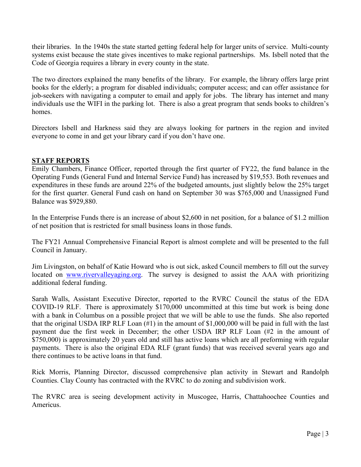their libraries. In the 1940s the state started getting federal help for larger units of service. Multi-county systems exist because the state gives incentives to make regional partnerships. Ms. Isbell noted that the Code of Georgia requires a library in every county in the state.

The two directors explained the many benefits of the library. For example, the library offers large print books for the elderly; a program for disabled individuals; computer access; and can offer assistance for job-seekers with navigating a computer to email and apply for jobs. The library has internet and many individuals use the WIFI in the parking lot. There is also a great program that sends books to children's homes.

Directors Isbell and Harkness said they are always looking for partners in the region and invited everyone to come in and get your library card if you don't have one.

### **STAFF REPORTS**

Emily Chambers, Finance Officer, reported through the first quarter of FY22, the fund balance in the Operating Funds (General Fund and Internal Service Fund) has increased by \$19,553. Both revenues and expenditures in these funds are around 22% of the budgeted amounts, just slightly below the 25% target for the first quarter. General Fund cash on hand on September 30 was \$765,000 and Unassigned Fund Balance was \$929,880.

In the Enterprise Funds there is an increase of about \$2,600 in net position, for a balance of \$1.2 million of net position that is restricted for small business loans in those funds.

The FY21 Annual Comprehensive Financial Report is almost complete and will be presented to the full Council in January.

Jim Livingston, on behalf of Katie Howard who is out sick, asked Council members to fill out the survey located on [www.rivervalleyaging.org.](http://www.rivervalleyaging.org/) The survey is designed to assist the AAA with prioritizing additional federal funding.

Sarah Walls, Assistant Executive Director, reported to the RVRC Council the status of the EDA COVID-19 RLF. There is approximately \$170,000 uncommitted at this time but work is being done with a bank in Columbus on a possible project that we will be able to use the funds. She also reported that the original USDA IRP RLF Loan (#1) in the amount of \$1,000,000 will be paid in full with the last payment due the first week in December; the other USDA IRP RLF Loan (#2 in the amount of \$750,000) is approximately 20 years old and still has active loans which are all preforming with regular payments. There is also the original EDA RLF (grant funds) that was received several years ago and there continues to be active loans in that fund.

Rick Morris, Planning Director, discussed comprehensive plan activity in Stewart and Randolph Counties. Clay County has contracted with the RVRC to do zoning and subdivision work.

The RVRC area is seeing development activity in Muscogee, Harris, Chattahoochee Counties and Americus.